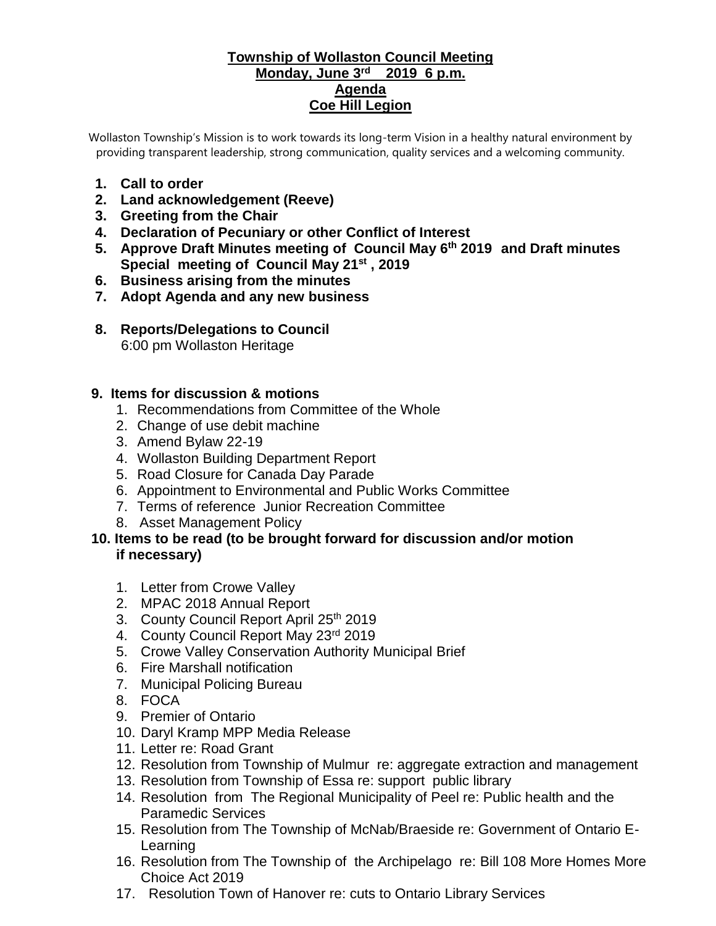#### **Township of Wollaston Council Meeting Monday, June 3rd 2019 6 p.m. Agenda Coe Hill Legion**

Wollaston Township's Mission is to work towards its long-term Vision in a healthy natural environment by providing transparent leadership, strong communication, quality services and a welcoming community.

- **1. Call to order**
- **2. Land acknowledgement (Reeve)**
- **3. Greeting from the Chair**
- **4. Declaration of Pecuniary or other Conflict of Interest**
- **5. Approve Draft Minutes meeting of Council May 6th 2019 and Draft minutes Special meeting of Council May 21st , 2019**
- **6. Business arising from the minutes**
- **7. Adopt Agenda and any new business**
- **8. Reports/Delegations to Council** 6:00 pm Wollaston Heritage

### **9. Items for discussion & motions**

- 1. Recommendations from Committee of the Whole
- 2. Change of use debit machine
- 3. Amend Bylaw 22-19
- 4. Wollaston Building Department Report
- 5. Road Closure for Canada Day Parade
- 6. Appointment to Environmental and Public Works Committee
- 7. Terms of reference Junior Recreation Committee
- 8. Asset Management Policy
- **10. Items to be read (to be brought forward for discussion and/or motion if necessary)**
	- 1. Letter from Crowe Valley
	- 2. MPAC 2018 Annual Report
	- 3. County Council Report April 25th 2019
	- 4. County Council Report May 23rd 2019
	- 5. Crowe Valley Conservation Authority Municipal Brief
	- 6. Fire Marshall notification
	- 7. Municipal Policing Bureau
	- 8. FOCA
	- 9. Premier of Ontario
	- 10. Daryl Kramp MPP Media Release
	- 11. Letter re: Road Grant
	- 12. Resolution from Township of Mulmur re: aggregate extraction and management
	- 13. Resolution from Township of Essa re: support public library
	- 14. Resolution from The Regional Municipality of Peel re: Public health and the Paramedic Services
	- 15. Resolution from The Township of McNab/Braeside re: Government of Ontario E-Learning
	- 16. Resolution from The Township of the Archipelago re: Bill 108 More Homes More Choice Act 2019
	- 17. Resolution Town of Hanover re: cuts to Ontario Library Services